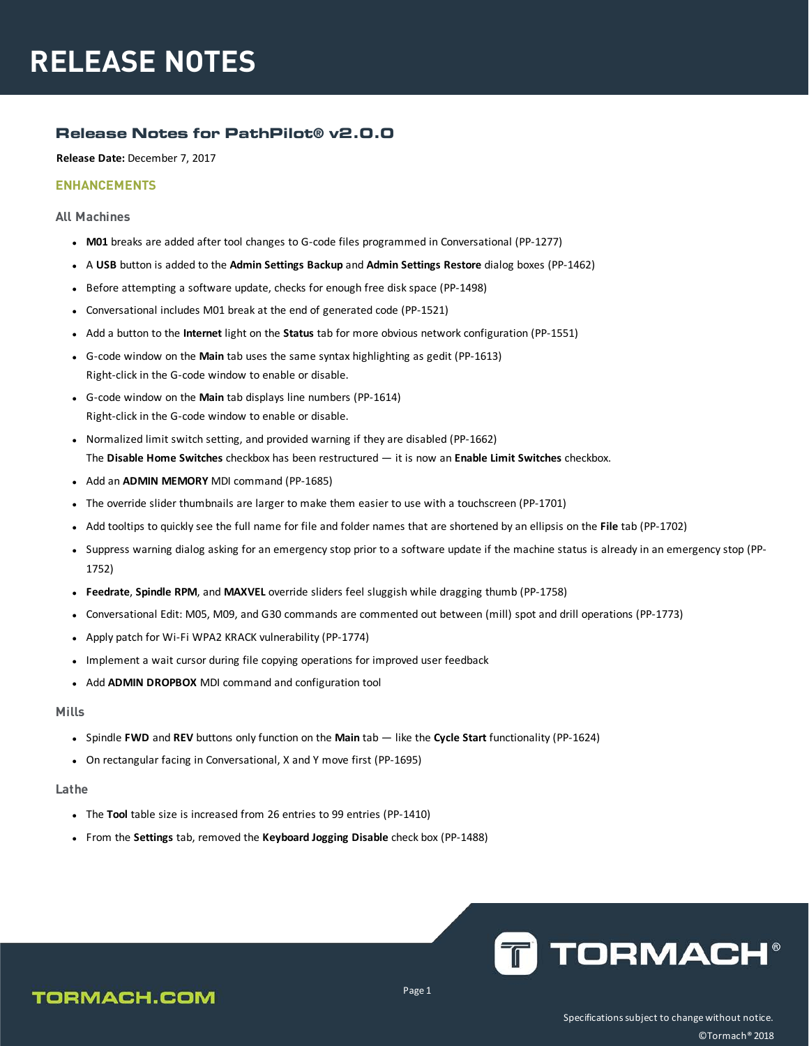### **Release Notes for PathPilot® v2.0.0**

**Release Date:** December 7, 2017

### **ENHANCEMENTS**

### **All Machines**

- M01 breaks are added after tool changes to G-code files programmed in Conversational (PP-1277)
- <sup>l</sup> A **USB** button is added to the **Admin Settings Backup** and **Admin Settings Restore** dialog boxes (PP-1462)
- Before attempting a software update, checks for enough free disk space (PP-1498)
- Conversational includes M01 break at the end of generated code (PP-1521)
- <sup>l</sup> Add a button to the **Internet** light on the **Status** tab for more obvious network configuration (PP-1551)
- <sup>l</sup> G-code window on the **Main** tab uses the same syntax highlighting as gedit (PP-1613) Right-click in the G-code window to enable or disable.
- <sup>l</sup> G-code window on the **Main** tab displays line numbers (PP-1614) Right-click in the G-code window to enable or disable.
- Normalized limit switch setting, and provided warning if they are disabled (PP-1662) The **Disable Home Switches** checkbox has been restructured — it is now an **Enable Limit Switches** checkbox.
- Add an **ADMIN MEMORY** MDI command (PP-1685)
- The override slider thumbnails are larger to make them easier to use with a touchscreen (PP-1701)
- <sup>l</sup> Add tooltips to quickly see the full name for file and folder names that are shortened by an ellipsis on the **File** tab (PP-1702)
- Suppress warning dialog asking for an emergency stop prior to a software update if the machine status is already in an emergency stop (PP-1752)
- **Feedrate, Spindle RPM, and MAXVEL** override sliders feel sluggish while dragging thumb (PP-1758)
- <sup>l</sup> Conversational Edit: M05, M09, and G30 commands are commented out between (mill) spot and drill operations (PP-1773)
- Apply patch for Wi-Fi WPA2 KRACK vulnerability (PP-1774)
- Implement a wait cursor during file copying operations for improved user feedback
- <sup>l</sup> Add **ADMIN DROPBOX** MDI command and configuration tool

#### **Mills**

- <sup>l</sup> Spindle **FWD** and **REV** buttons only function on the **Main** tab like the **Cycle Start** functionality (PP-1624)
- On rectangular facing in Conversational, X and Y move first (PP-1695)

### **Lathe**

- The Tool table size is increased from 26 entries to 99 entries (PP-1410)
- <sup>l</sup> From the **Settings** tab, removed the **Keyboard Jogging Disable** check box (PP-1488)



## **TORMACH.COM**

Page 1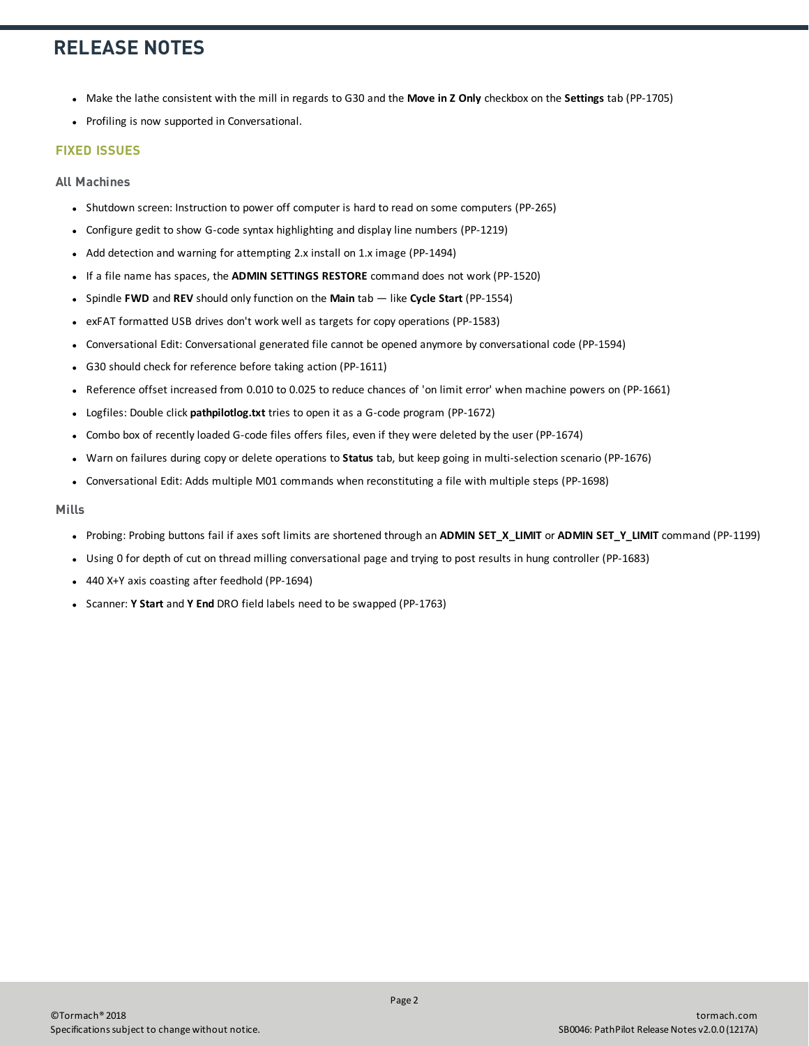# **RELEASE NOTES**

- <sup>l</sup> Make the lathe consistent with the mill in regards to G30 and the **Move in Z Only** checkbox on the **Settings** tab (PP-1705)
- Profiling is now supported in Conversational.

### **FIXED ISSUES**

**All Machines**

- Shutdown screen: Instruction to power off computer is hard to read on some computers (PP-265)
- Configure gedit to show G-code syntax highlighting and display line numbers (PP-1219)
- Add detection and warning for attempting 2.x install on 1.x image (PP-1494)
- **.** If a file name has spaces, the **ADMIN SETTINGS RESTORE** command does not work (PP-1520)
- <sup>l</sup> Spindle **FWD** and **REV** should only function on the **Main** tab like **Cycle Start** (PP-1554)
- exFAT formatted USB drives don't work well as targets for copy operations (PP-1583)
- <sup>l</sup> Conversational Edit: Conversational generated file cannot be opened anymore by conversational code (PP-1594)
- G30 should check for reference before taking action (PP-1611)
- Reference offset increased from 0.010 to 0.025 to reduce chances of 'on limit error' when machine powers on (PP-1661)
- **.** Logfiles: Double click **pathpilotlog.txt** tries to open it as a G-code program (PP-1672)
- <sup>l</sup> Combo box of recently loaded G-code files offers files, even if they were deleted by the user (PP-1674)
- <sup>l</sup> Warn on failures during copy or delete operations to **Status** tab, but keep going in multi-selection scenario (PP-1676)
- <sup>l</sup> Conversational Edit: Adds multiple M01 commands when reconstituting a file with multiple steps (PP-1698)

#### **Mills**

- <sup>l</sup> Probing: Probing buttons fail if axes soft limits are shortened through an **ADMIN SET\_X\_LIMIT** or **ADMIN SET\_Y\_LIMIT** command (PP-1199)
- Using 0 for depth of cut on thread milling conversational page and trying to post results in hung controller (PP-1683)
- 440 X+Y axis coasting after feedhold (PP-1694)
- **.** Scanner: **Y Start** and **Y End** DRO field labels need to be swapped (PP-1763)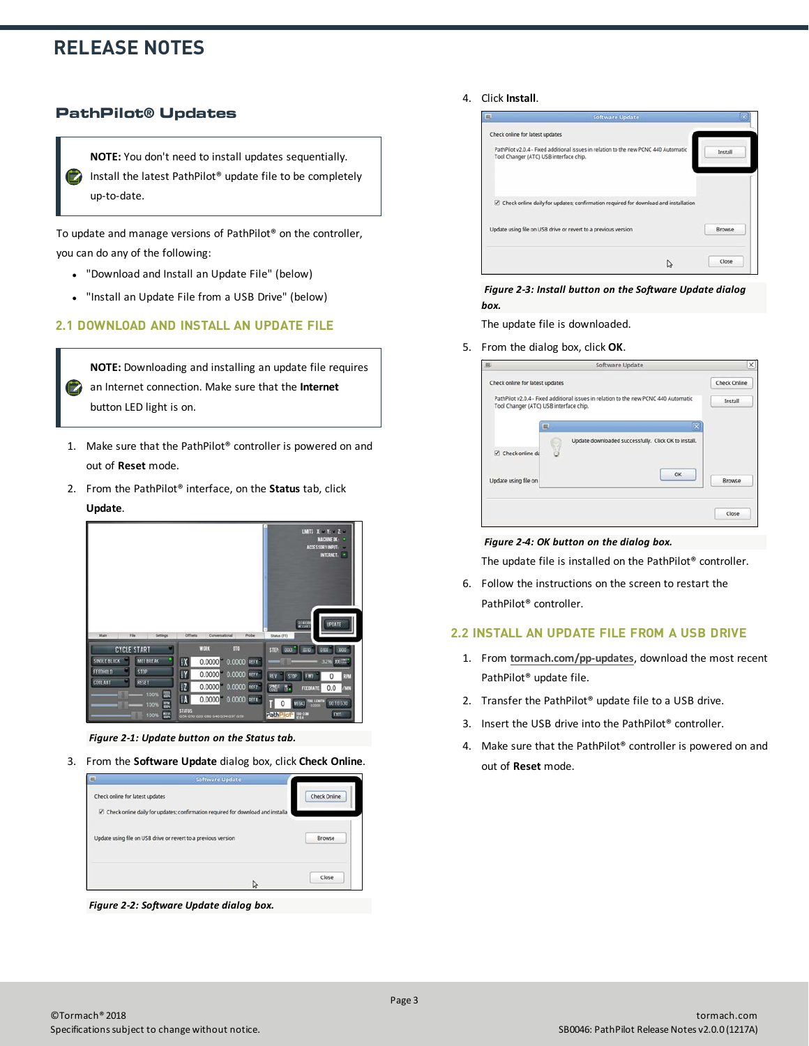## **RELEASE NOTES**

### **PathPilot® Updates**

**NOTE:** You don't need to install updates sequentially. Install the latest PathPilot® update file to be completely up-to-date.

To update and manage versions of PathPilot® on the controller, you can do any of the following:

- <span id="page-2-0"></span>• ["Download and Install an Update File" \(below\)](#page-2-0)
- ["Install an Update File from a USB Drive" \(below\)](#page-2-1)

### **2.1 DOWNLOAD AND INSTALL AN UPDATE FILE**

**NOTE:** Downloading and installing an update file requires an Internet connection. Make sure that the **Internet E** button LED light is on.

- 1. Make sure that the PathPilot® controller is powered on and out of **Reset** mode.
- 2. From the PathPilot® interface, on the **Status** tab, click **Update**.



*Figure 2-1: Update button on the Status tab.*

3. From the **Software Update** dialog box, click **Check Online**.



*Figure 2-2: Software Update dialog box.*

### 4. Click **Install**.



*Figure 2-3: Install button on the Software Update dialog box.*

The update file is downloaded.

5. From the dialog box, click **OK**.

| Check Online<br>Install |
|-------------------------|
|                         |
|                         |
|                         |
|                         |
| Browse                  |
|                         |

#### *Figure 2-4: OK button on the dialog box.*

The update file is installed on the PathPilot® controller.

<span id="page-2-1"></span>6. Follow the instructions on the screen to restart the PathPilot® controller.

### **2.2 INSTALL AN UPDATE FILE FROM A USB DRIVE**

- 1. From **[tormach.com/pp-updates](https://www.tormach.com/support/software/pathpilot/pathpilot-updates-and-notes/)**, download the most recent PathPilot® update file.
- 2. Transfer the PathPilot® update file to a USB drive.
- 3. Insert the USB drive into the PathPilot® controller.
- 4. Make sure that the PathPilot® controller is powered on and out of **Reset** mode.